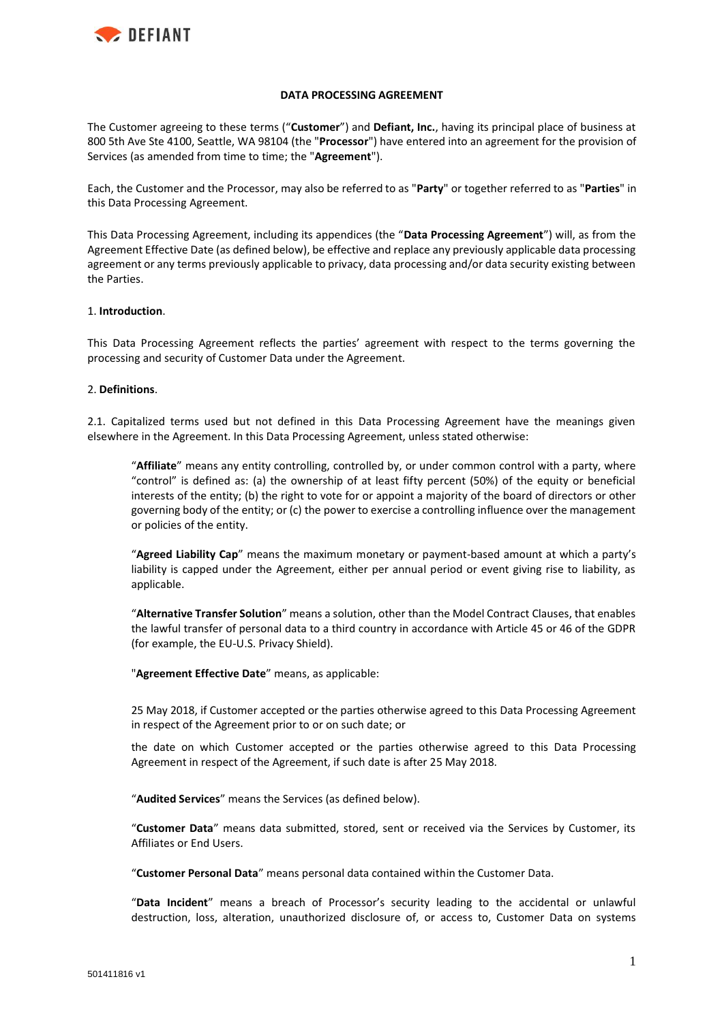

#### **DATA PROCESSING AGREEMENT**

The Customer agreeing to these terms ("**Customer**") and **Defiant, Inc.**, having its principal place of business at 800 5th Ave Ste 4100, Seattle, WA 98104 (the "**Processor**") have entered into an agreement for the provision of Services (as amended from time to time; the "**Agreement**").

Each, the Customer and the Processor, may also be referred to as "**Party**" or together referred to as "**Parties**" in this Data Processing Agreement.

This Data Processing Agreement, including its appendices (the "**Data Processing Agreement**") will, as from the Agreement Effective Date (as defined below), be effective and replace any previously applicable data processing agreement or any terms previously applicable to privacy, data processing and/or data security existing between the Parties.

# 1. **Introduction**.

This Data Processing Agreement reflects the parties' agreement with respect to the terms governing the processing and security of Customer Data under the Agreement.

#### 2. **Definitions**.

2.1. Capitalized terms used but not defined in this Data Processing Agreement have the meanings given elsewhere in the Agreement. In this Data Processing Agreement, unless stated otherwise:

"**Affiliate**" means any entity controlling, controlled by, or under common control with a party, where "control" is defined as: (a) the ownership of at least fifty percent (50%) of the equity or beneficial interests of the entity; (b) the right to vote for or appoint a majority of the board of directors or other governing body of the entity; or (c) the power to exercise a controlling influence over the management or policies of the entity.

"**Agreed Liability Cap**" means the maximum monetary or payment-based amount at which a party's liability is capped under the Agreement, either per annual period or event giving rise to liability, as applicable.

"**Alternative Transfer Solution**" means a solution, other than the Model Contract Clauses, that enables the lawful transfer of personal data to a third country in accordance with Article 45 or 46 of the GDPR (for example, the EU-U.S. Privacy Shield).

"**Agreement Effective Date**" means, as applicable:

25 May 2018, if Customer accepted or the parties otherwise agreed to this Data Processing Agreement in respect of the Agreement prior to or on such date; or

the date on which Customer accepted or the parties otherwise agreed to this Data Processing Agreement in respect of the Agreement, if such date is after 25 May 2018.

"**Audited Services**" means the Services (as defined below).

"**Customer Data**" means data submitted, stored, sent or received via the Services by Customer, its Affiliates or End Users.

"**Customer Personal Data**" means personal data contained within the Customer Data.

"**Data Incident**" means a breach of Processor's security leading to the accidental or unlawful destruction, loss, alteration, unauthorized disclosure of, or access to, Customer Data on systems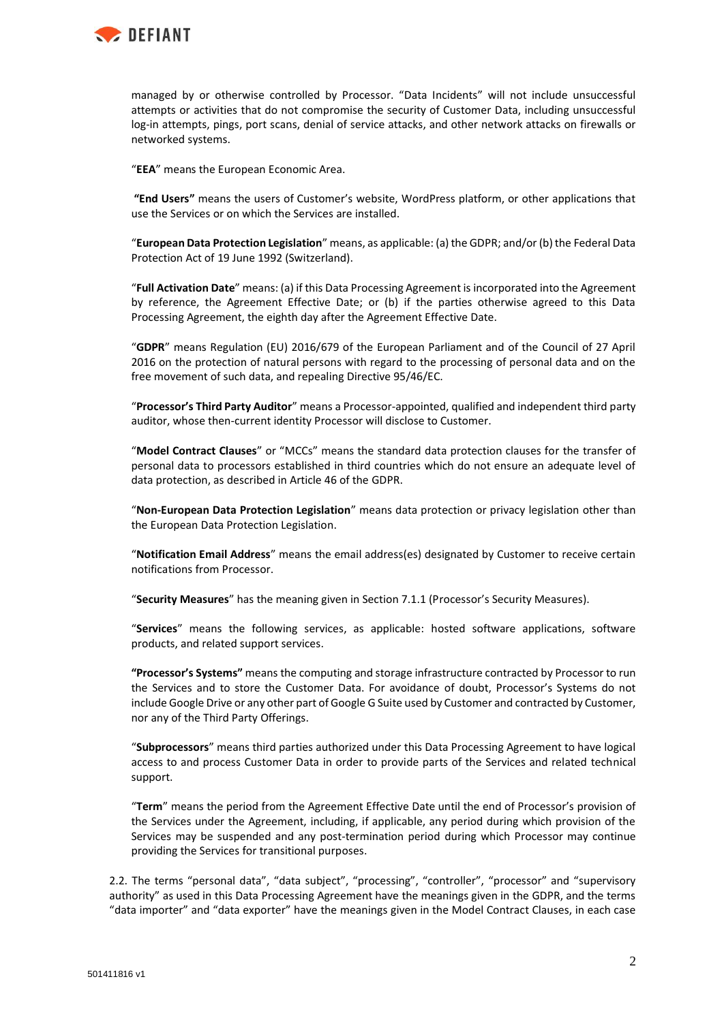

managed by or otherwise controlled by Processor. "Data Incidents" will not include unsuccessful attempts or activities that do not compromise the security of Customer Data, including unsuccessful log-in attempts, pings, port scans, denial of service attacks, and other network attacks on firewalls or networked systems.

"**EEA**" means the European Economic Area.

**"End Users"** means the users of Customer's website, WordPress platform, or other applications that use the Services or on which the Services are installed.

"**European Data Protection Legislation**" means, as applicable: (a) the GDPR; and/or (b) the Federal Data Protection Act of 19 June 1992 (Switzerland).

"**Full Activation Date**" means: (a) if this Data Processing Agreement is incorporated into the Agreement by reference, the Agreement Effective Date; or (b) if the parties otherwise agreed to this Data Processing Agreement, the eighth day after the Agreement Effective Date.

"**GDPR**" means Regulation (EU) 2016/679 of the European Parliament and of the Council of 27 April 2016 on the protection of natural persons with regard to the processing of personal data and on the free movement of such data, and repealing Directive 95/46/EC.

"**Processor's Third Party Auditor**" means a Processor-appointed, qualified and independent third party auditor, whose then-current identity Processor will disclose to Customer.

"**Model Contract Clauses**" or "MCCs" means the standard data protection clauses for the transfer of personal data to processors established in third countries which do not ensure an adequate level of data protection, as described in Article 46 of the GDPR.

"**Non-European Data Protection Legislation**" means data protection or privacy legislation other than the European Data Protection Legislation.

"**Notification Email Address**" means the email address(es) designated by Customer to receive certain notifications from Processor.

"**Security Measures**" has the meaning given in Section 7.1.1 (Processor's Security Measures).

"**Services**" means the following services, as applicable: hosted software applications, software products, and related support services.

**"Processor's Systems"** means the computing and storage infrastructure contracted by Processor to run the Services and to store the Customer Data. For avoidance of doubt, Processor's Systems do not include Google Drive or any other part of Google G Suite used by Customer and contracted by Customer, nor any of the Third Party Offerings.

"**Subprocessors**" means third parties authorized under this Data Processing Agreement to have logical access to and process Customer Data in order to provide parts of the Services and related technical support.

"**Term**" means the period from the Agreement Effective Date until the end of Processor's provision of the Services under the Agreement, including, if applicable, any period during which provision of the Services may be suspended and any post-termination period during which Processor may continue providing the Services for transitional purposes.

2.2. The terms "personal data", "data subject", "processing", "controller", "processor" and "supervisory authority" as used in this Data Processing Agreement have the meanings given in the GDPR, and the terms "data importer" and "data exporter" have the meanings given in the Model Contract Clauses, in each case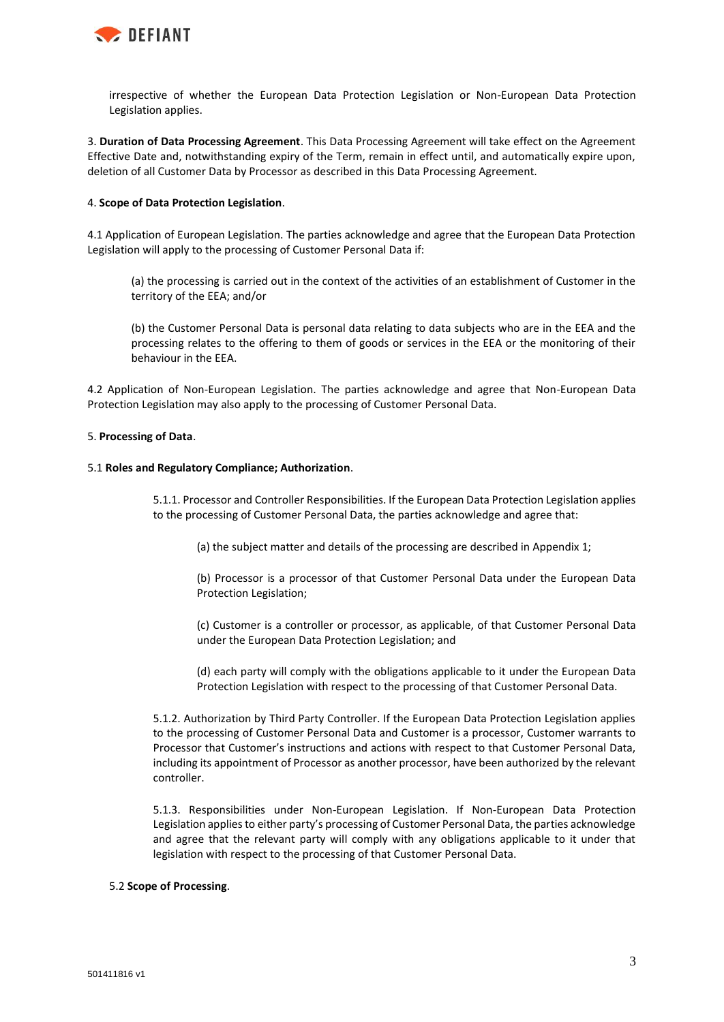

irrespective of whether the European Data Protection Legislation or Non-European Data Protection Legislation applies.

3. **Duration of Data Processing Agreement**. This Data Processing Agreement will take effect on the Agreement Effective Date and, notwithstanding expiry of the Term, remain in effect until, and automatically expire upon, deletion of all Customer Data by Processor as described in this Data Processing Agreement.

### 4. **Scope of Data Protection Legislation**.

4.1 Application of European Legislation. The parties acknowledge and agree that the European Data Protection Legislation will apply to the processing of Customer Personal Data if:

(a) the processing is carried out in the context of the activities of an establishment of Customer in the territory of the EEA; and/or

(b) the Customer Personal Data is personal data relating to data subjects who are in the EEA and the processing relates to the offering to them of goods or services in the EEA or the monitoring of their behaviour in the EEA.

4.2 Application of Non-European Legislation. The parties acknowledge and agree that Non-European Data Protection Legislation may also apply to the processing of Customer Personal Data.

#### 5. **Processing of Data**.

#### 5.1 **Roles and Regulatory Compliance; Authorization**.

5.1.1. Processor and Controller Responsibilities. If the European Data Protection Legislation applies to the processing of Customer Personal Data, the parties acknowledge and agree that:

(a) the subject matter and details of the processing are described in Appendix 1;

(b) Processor is a processor of that Customer Personal Data under the European Data Protection Legislation;

(c) Customer is a controller or processor, as applicable, of that Customer Personal Data under the European Data Protection Legislation; and

(d) each party will comply with the obligations applicable to it under the European Data Protection Legislation with respect to the processing of that Customer Personal Data.

5.1.2. Authorization by Third Party Controller. If the European Data Protection Legislation applies to the processing of Customer Personal Data and Customer is a processor, Customer warrants to Processor that Customer's instructions and actions with respect to that Customer Personal Data, including its appointment of Processor as another processor, have been authorized by the relevant controller.

5.1.3. Responsibilities under Non-European Legislation. If Non-European Data Protection Legislation applies to either party's processing of Customer Personal Data, the parties acknowledge and agree that the relevant party will comply with any obligations applicable to it under that legislation with respect to the processing of that Customer Personal Data.

#### 5.2 **Scope of Processing**.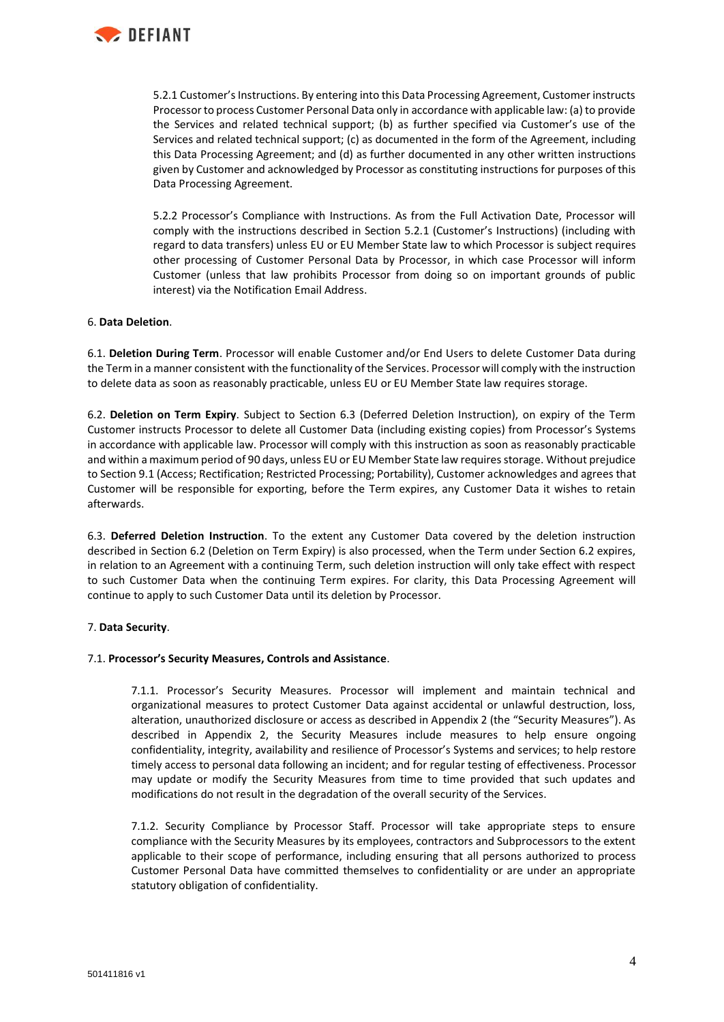

5.2.1 Customer's Instructions. By entering into this Data Processing Agreement, Customer instructs Processor to process Customer Personal Data only in accordance with applicable law: (a) to provide the Services and related technical support; (b) as further specified via Customer's use of the Services and related technical support; (c) as documented in the form of the Agreement, including this Data Processing Agreement; and (d) as further documented in any other written instructions given by Customer and acknowledged by Processor as constituting instructions for purposes of this Data Processing Agreement.

5.2.2 Processor's Compliance with Instructions. As from the Full Activation Date, Processor will comply with the instructions described in Section 5.2.1 (Customer's Instructions) (including with regard to data transfers) unless EU or EU Member State law to which Processor is subject requires other processing of Customer Personal Data by Processor, in which case Processor will inform Customer (unless that law prohibits Processor from doing so on important grounds of public interest) via the Notification Email Address.

# 6. **Data Deletion**.

6.1. **Deletion During Term**. Processor will enable Customer and/or End Users to delete Customer Data during the Term in a manner consistent with the functionality of the Services. Processor will comply with the instruction to delete data as soon as reasonably practicable, unless EU or EU Member State law requires storage.

6.2. **Deletion on Term Expiry**. Subject to Section 6.3 (Deferred Deletion Instruction), on expiry of the Term Customer instructs Processor to delete all Customer Data (including existing copies) from Processor's Systems in accordance with applicable law. Processor will comply with this instruction as soon as reasonably practicable and within a maximum period of 90 days, unless EU or EU Member State law requires storage. Without prejudice to Section 9.1 (Access; Rectification; Restricted Processing; Portability), Customer acknowledges and agrees that Customer will be responsible for exporting, before the Term expires, any Customer Data it wishes to retain afterwards.

6.3. **Deferred Deletion Instruction**. To the extent any Customer Data covered by the deletion instruction described in Section 6.2 (Deletion on Term Expiry) is also processed, when the Term under Section 6.2 expires, in relation to an Agreement with a continuing Term, such deletion instruction will only take effect with respect to such Customer Data when the continuing Term expires. For clarity, this Data Processing Agreement will continue to apply to such Customer Data until its deletion by Processor.

# 7. **Data Security**.

# 7.1. **Processor's Security Measures, Controls and Assistance**.

7.1.1. Processor's Security Measures. Processor will implement and maintain technical and organizational measures to protect Customer Data against accidental or unlawful destruction, loss, alteration, unauthorized disclosure or access as described in Appendix 2 (the "Security Measures"). As described in Appendix 2, the Security Measures include measures to help ensure ongoing confidentiality, integrity, availability and resilience of Processor's Systems and services; to help restore timely access to personal data following an incident; and for regular testing of effectiveness. Processor may update or modify the Security Measures from time to time provided that such updates and modifications do not result in the degradation of the overall security of the Services.

7.1.2. Security Compliance by Processor Staff. Processor will take appropriate steps to ensure compliance with the Security Measures by its employees, contractors and Subprocessors to the extent applicable to their scope of performance, including ensuring that all persons authorized to process Customer Personal Data have committed themselves to confidentiality or are under an appropriate statutory obligation of confidentiality.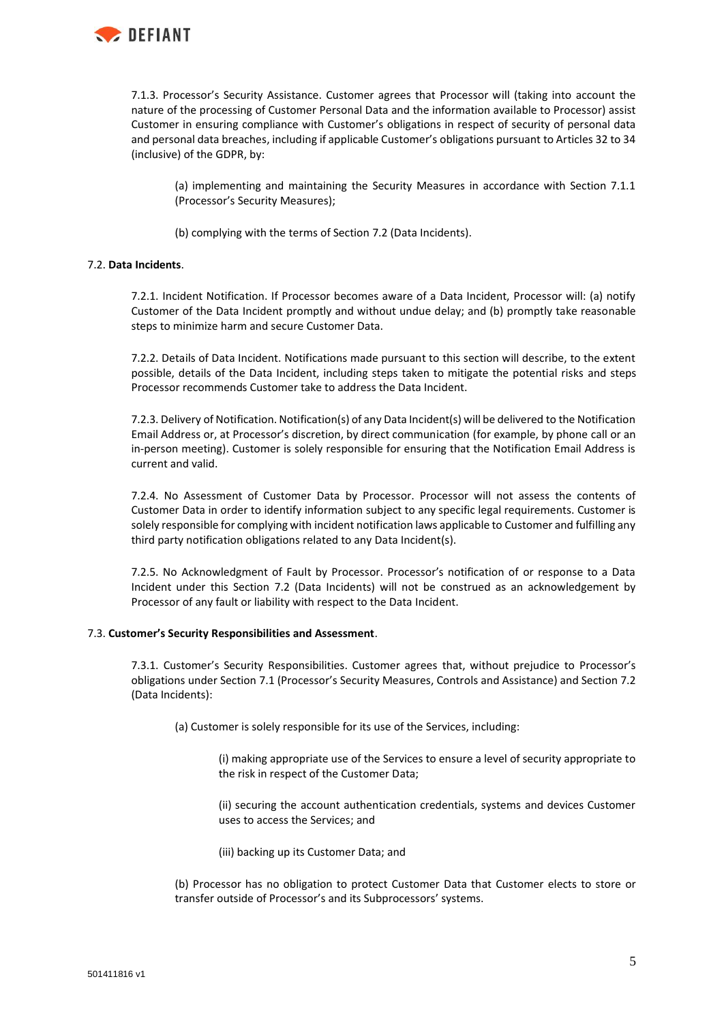

7.1.3. Processor's Security Assistance. Customer agrees that Processor will (taking into account the nature of the processing of Customer Personal Data and the information available to Processor) assist Customer in ensuring compliance with Customer's obligations in respect of security of personal data and personal data breaches, including if applicable Customer's obligations pursuant to Articles 32 to 34 (inclusive) of the GDPR, by:

(a) implementing and maintaining the Security Measures in accordance with Section 7.1.1 (Processor's Security Measures);

(b) complying with the terms of Section 7.2 (Data Incidents).

# 7.2. **Data Incidents**.

7.2.1. Incident Notification. If Processor becomes aware of a Data Incident, Processor will: (a) notify Customer of the Data Incident promptly and without undue delay; and (b) promptly take reasonable steps to minimize harm and secure Customer Data.

7.2.2. Details of Data Incident. Notifications made pursuant to this section will describe, to the extent possible, details of the Data Incident, including steps taken to mitigate the potential risks and steps Processor recommends Customer take to address the Data Incident.

7.2.3. Delivery of Notification. Notification(s) of any Data Incident(s) will be delivered to the Notification Email Address or, at Processor's discretion, by direct communication (for example, by phone call or an in-person meeting). Customer is solely responsible for ensuring that the Notification Email Address is current and valid.

7.2.4. No Assessment of Customer Data by Processor. Processor will not assess the contents of Customer Data in order to identify information subject to any specific legal requirements. Customer is solely responsible for complying with incident notification laws applicable to Customer and fulfilling any third party notification obligations related to any Data Incident(s).

7.2.5. No Acknowledgment of Fault by Processor. Processor's notification of or response to a Data Incident under this Section 7.2 (Data Incidents) will not be construed as an acknowledgement by Processor of any fault or liability with respect to the Data Incident.

# 7.3. **Customer's Security Responsibilities and Assessment**.

7.3.1. Customer's Security Responsibilities. Customer agrees that, without prejudice to Processor's obligations under Section 7.1 (Processor's Security Measures, Controls and Assistance) and Section 7.2 (Data Incidents):

(a) Customer is solely responsible for its use of the Services, including:

(i) making appropriate use of the Services to ensure a level of security appropriate to the risk in respect of the Customer Data;

(ii) securing the account authentication credentials, systems and devices Customer uses to access the Services; and

(iii) backing up its Customer Data; and

(b) Processor has no obligation to protect Customer Data that Customer elects to store or transfer outside of Processor's and its Subprocessors' systems.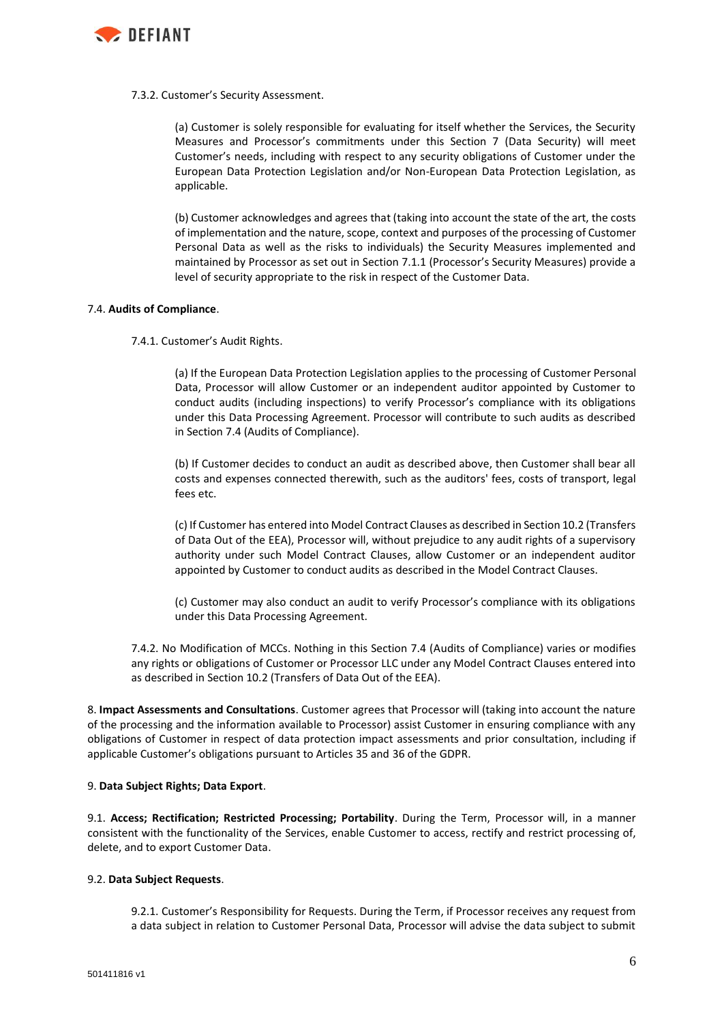

### 7.3.2. Customer's Security Assessment.

(a) Customer is solely responsible for evaluating for itself whether the Services, the Security Measures and Processor's commitments under this Section 7 (Data Security) will meet Customer's needs, including with respect to any security obligations of Customer under the European Data Protection Legislation and/or Non-European Data Protection Legislation, as applicable.

(b) Customer acknowledges and agrees that (taking into account the state of the art, the costs of implementation and the nature, scope, context and purposes of the processing of Customer Personal Data as well as the risks to individuals) the Security Measures implemented and maintained by Processor as set out in Section 7.1.1 (Processor's Security Measures) provide a level of security appropriate to the risk in respect of the Customer Data.

### 7.4. **Audits of Compliance**.

7.4.1. Customer's Audit Rights.

(a) If the European Data Protection Legislation applies to the processing of Customer Personal Data, Processor will allow Customer or an independent auditor appointed by Customer to conduct audits (including inspections) to verify Processor's compliance with its obligations under this Data Processing Agreement. Processor will contribute to such audits as described in Section 7.4 (Audits of Compliance).

(b) If Customer decides to conduct an audit as described above, then Customer shall bear all costs and expenses connected therewith, such as the auditors' fees, costs of transport, legal fees etc.

(c) If Customer has entered into Model Contract Clauses as described in Section 10.2 (Transfers of Data Out of the EEA), Processor will, without prejudice to any audit rights of a supervisory authority under such Model Contract Clauses, allow Customer or an independent auditor appointed by Customer to conduct audits as described in the Model Contract Clauses.

(c) Customer may also conduct an audit to verify Processor's compliance with its obligations under this Data Processing Agreement.

7.4.2. No Modification of MCCs. Nothing in this Section 7.4 (Audits of Compliance) varies or modifies any rights or obligations of Customer or Processor LLC under any Model Contract Clauses entered into as described in Section 10.2 (Transfers of Data Out of the EEA).

8. **Impact Assessments and Consultations**. Customer agrees that Processor will (taking into account the nature of the processing and the information available to Processor) assist Customer in ensuring compliance with any obligations of Customer in respect of data protection impact assessments and prior consultation, including if applicable Customer's obligations pursuant to Articles 35 and 36 of the GDPR.

# 9. **Data Subject Rights; Data Export**.

9.1. **Access; Rectification; Restricted Processing; Portability**. During the Term, Processor will, in a manner consistent with the functionality of the Services, enable Customer to access, rectify and restrict processing of, delete, and to export Customer Data.

#### 9.2. **Data Subject Requests**.

9.2.1. Customer's Responsibility for Requests. During the Term, if Processor receives any request from a data subject in relation to Customer Personal Data, Processor will advise the data subject to submit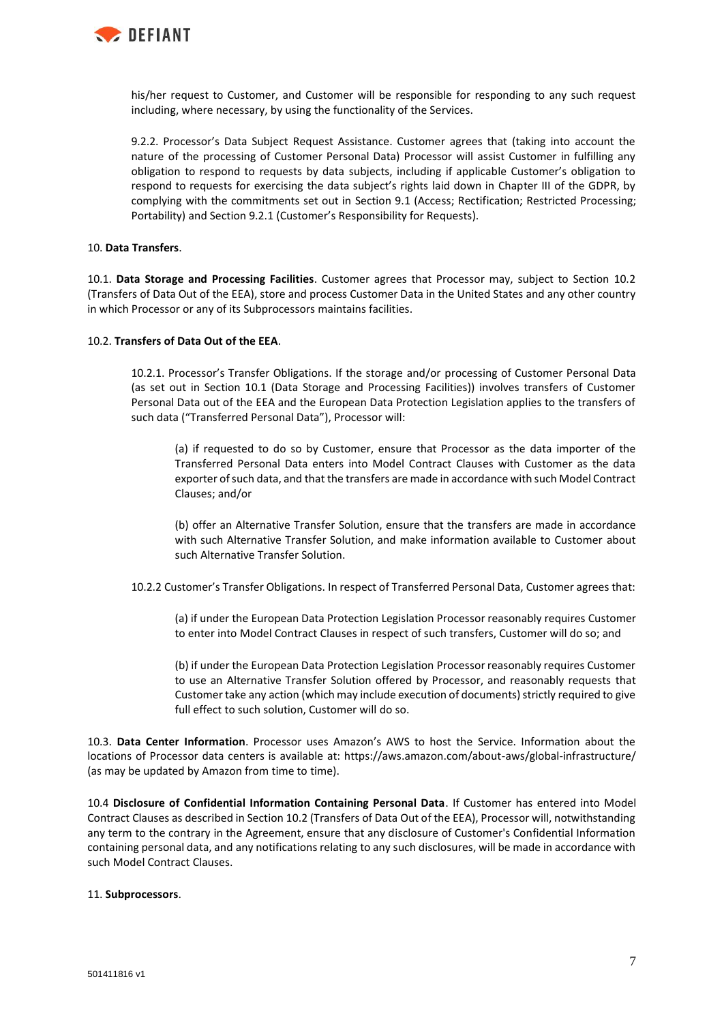

his/her request to Customer, and Customer will be responsible for responding to any such request including, where necessary, by using the functionality of the Services.

9.2.2. Processor's Data Subject Request Assistance. Customer agrees that (taking into account the nature of the processing of Customer Personal Data) Processor will assist Customer in fulfilling any obligation to respond to requests by data subjects, including if applicable Customer's obligation to respond to requests for exercising the data subject's rights laid down in Chapter III of the GDPR, by complying with the commitments set out in Section 9.1 (Access; Rectification; Restricted Processing; Portability) and Section 9.2.1 (Customer's Responsibility for Requests).

# 10. **Data Transfers**.

10.1. **Data Storage and Processing Facilities**. Customer agrees that Processor may, subject to Section 10.2 (Transfers of Data Out of the EEA), store and process Customer Data in the United States and any other country in which Processor or any of its Subprocessors maintains facilities.

### 10.2. **Transfers of Data Out of the EEA**.

10.2.1. Processor's Transfer Obligations. If the storage and/or processing of Customer Personal Data (as set out in Section 10.1 (Data Storage and Processing Facilities)) involves transfers of Customer Personal Data out of the EEA and the European Data Protection Legislation applies to the transfers of such data ("Transferred Personal Data"), Processor will:

(a) if requested to do so by Customer, ensure that Processor as the data importer of the Transferred Personal Data enters into Model Contract Clauses with Customer as the data exporter of such data, and that the transfers are made in accordance with such Model Contract Clauses; and/or

(b) offer an Alternative Transfer Solution, ensure that the transfers are made in accordance with such Alternative Transfer Solution, and make information available to Customer about such Alternative Transfer Solution.

10.2.2 Customer's Transfer Obligations. In respect of Transferred Personal Data, Customer agrees that:

(a) if under the European Data Protection Legislation Processor reasonably requires Customer to enter into Model Contract Clauses in respect of such transfers, Customer will do so; and

(b) if under the European Data Protection Legislation Processor reasonably requires Customer to use an Alternative Transfer Solution offered by Processor, and reasonably requests that Customer take any action (which may include execution of documents) strictly required to give full effect to such solution, Customer will do so.

10.3. **Data Center Information**. Processor uses Amazon's AWS to host the Service. Information about the locations of Processor data centers is available at: https://aws.amazon.com/about-aws/global-infrastructure/ (as may be updated by Amazon from time to time).

10.4 **Disclosure of Confidential Information Containing Personal Data**. If Customer has entered into Model Contract Clauses as described in Section 10.2 (Transfers of Data Out of the EEA), Processor will, notwithstanding any term to the contrary in the Agreement, ensure that any disclosure of Customer's Confidential Information containing personal data, and any notifications relating to any such disclosures, will be made in accordance with such Model Contract Clauses.

#### 11. **Subprocessors**.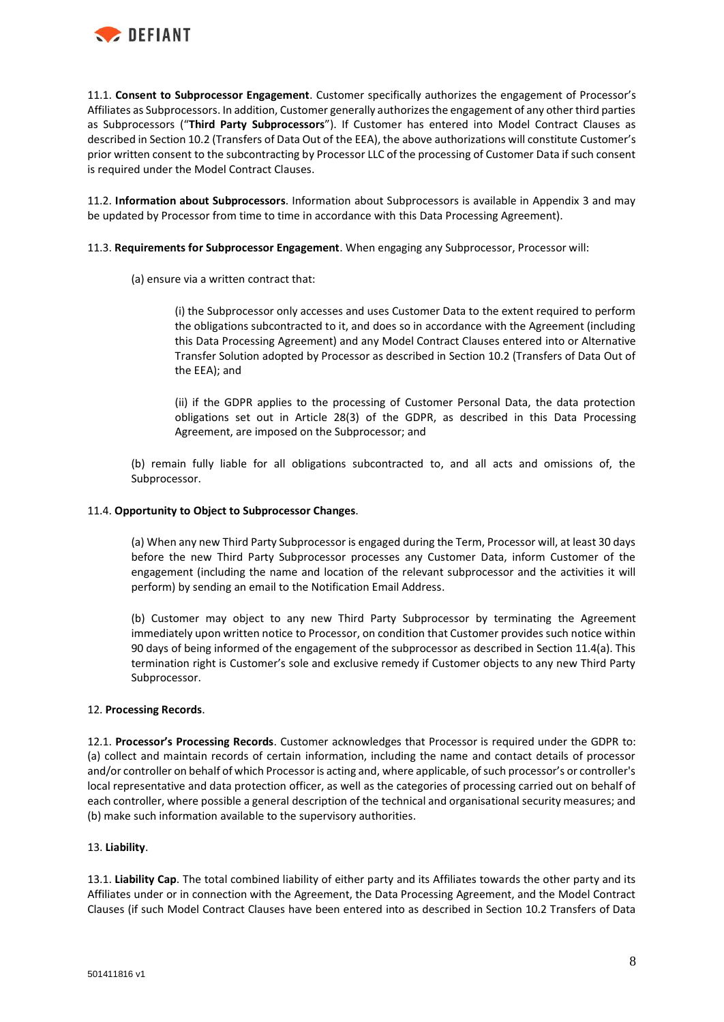

11.1. **Consent to Subprocessor Engagement**. Customer specifically authorizes the engagement of Processor's Affiliates as Subprocessors. In addition, Customer generally authorizes the engagement of any other third parties as Subprocessors ("**Third Party Subprocessors**"). If Customer has entered into Model Contract Clauses as described in Section 10.2 (Transfers of Data Out of the EEA), the above authorizations will constitute Customer's prior written consent to the subcontracting by Processor LLC of the processing of Customer Data if such consent is required under the Model Contract Clauses.

11.2. **Information about Subprocessors**. Information about Subprocessors is available in Appendix 3 and may be updated by Processor from time to time in accordance with this Data Processing Agreement).

11.3. **Requirements for Subprocessor Engagement**. When engaging any Subprocessor, Processor will:

(a) ensure via a written contract that:

(i) the Subprocessor only accesses and uses Customer Data to the extent required to perform the obligations subcontracted to it, and does so in accordance with the Agreement (including this Data Processing Agreement) and any Model Contract Clauses entered into or Alternative Transfer Solution adopted by Processor as described in Section 10.2 (Transfers of Data Out of the EEA); and

(ii) if the GDPR applies to the processing of Customer Personal Data, the data protection obligations set out in Article 28(3) of the GDPR, as described in this Data Processing Agreement, are imposed on the Subprocessor; and

(b) remain fully liable for all obligations subcontracted to, and all acts and omissions of, the Subprocessor.

### 11.4. **Opportunity to Object to Subprocessor Changes**.

(a) When any new Third Party Subprocessor is engaged during the Term, Processor will, at least 30 days before the new Third Party Subprocessor processes any Customer Data, inform Customer of the engagement (including the name and location of the relevant subprocessor and the activities it will perform) by sending an email to the Notification Email Address.

(b) Customer may object to any new Third Party Subprocessor by terminating the Agreement immediately upon written notice to Processor, on condition that Customer provides such notice within 90 days of being informed of the engagement of the subprocessor as described in Section 11.4(a). This termination right is Customer's sole and exclusive remedy if Customer objects to any new Third Party Subprocessor.

### 12. **Processing Records**.

12.1. **Processor's Processing Records**. Customer acknowledges that Processor is required under the GDPR to: (a) collect and maintain records of certain information, including the name and contact details of processor and/or controller on behalf of which Processor is acting and, where applicable, of such processor's or controller's local representative and data protection officer, as well as the categories of processing carried out on behalf of each controller, where possible a general description of the technical and organisational security measures; and (b) make such information available to the supervisory authorities.

#### 13. **Liability**.

13.1. **Liability Cap**. The total combined liability of either party and its Affiliates towards the other party and its Affiliates under or in connection with the Agreement, the Data Processing Agreement, and the Model Contract Clauses (if such Model Contract Clauses have been entered into as described in Section 10.2 Transfers of Data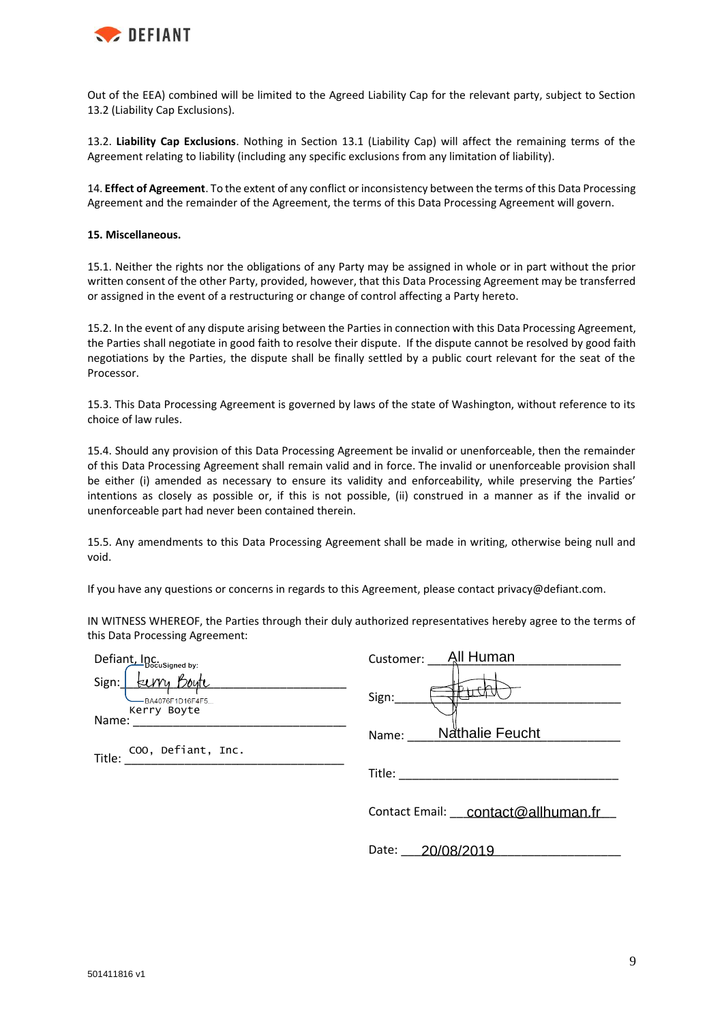

Out of the EEA) combined will be limited to the Agreed Liability Cap for the relevant party, subject to Section 13.2 (Liability Cap Exclusions).

13.2. **Liability Cap Exclusions**. Nothing in Section 13.1 (Liability Cap) will affect the remaining terms of the Agreement relating to liability (including any specific exclusions from any limitation of liability).

14. **Effect of Agreement**. To the extent of any conflict or inconsistency between the terms of this Data Processing Agreement and the remainder of the Agreement, the terms of this Data Processing Agreement will govern.

### **15. Miscellaneous.**

15.1. Neither the rights nor the obligations of any Party may be assigned in whole or in part without the prior written consent of the other Party, provided, however, that this Data Processing Agreement may be transferred or assigned in the event of a restructuring or change of control affecting a Party hereto.

15.2. In the event of any dispute arising between the Parties in connection with this Data Processing Agreement, the Parties shall negotiate in good faith to resolve their dispute. If the dispute cannot be resolved by good faith negotiations by the Parties, the dispute shall be finally settled by a public court relevant for the seat of the Processor.

15.3. This Data Processing Agreement is governed by laws of the state of Washington, without reference to its choice of law rules.

15.4. Should any provision of this Data Processing Agreement be invalid or unenforceable, then the remainder of this Data Processing Agreement shall remain valid and in force. The invalid or unenforceable provision shall be either (i) amended as necessary to ensure its validity and enforceability, while preserving the Parties' intentions as closely as possible or, if this is not possible, (ii) construed in a manner as if the invalid or unenforceable part had never been contained therein.

15.5. Any amendments to this Data Processing Agreement shall be made in writing, otherwise being null and void.

If you have any questions or concerns in regards to this Agreement, please contact privacy@defiant.com.

IN WITNESS WHEREOF, the Parties through their duly authorized representatives hereby agree to the terms of this Data Processing Agreement:

| Defiant, Inc. signed by:                                                                                                                                                                                                                     | All Human<br>Customer:                                                                                                                                                                                                              |
|----------------------------------------------------------------------------------------------------------------------------------------------------------------------------------------------------------------------------------------------|-------------------------------------------------------------------------------------------------------------------------------------------------------------------------------------------------------------------------------------|
| terry Boyte<br>Sign:<br>BA4076F1D16F4F5                                                                                                                                                                                                      | Sign:                                                                                                                                                                                                                               |
| Kerry Boyte<br>Name: and the state of the state of the state of the state of the state of the state of the state of the state of the state of the state of the state of the state of the state of the state of the state of the state of the |                                                                                                                                                                                                                                     |
| COO, Defiant, Inc.                                                                                                                                                                                                                           | Nathalie Feucht<br>Name:                                                                                                                                                                                                            |
| Title:                                                                                                                                                                                                                                       | <b>Title:</b> The contract of the contract of the contract of the contract of the contract of the contract of the contract of the contract of the contract of the contract of the contract of the contract of the contract of the c |
|                                                                                                                                                                                                                                              | Contact Email: __ contact@allhuman.fr                                                                                                                                                                                               |
|                                                                                                                                                                                                                                              | Date:<br>20/08/2019                                                                                                                                                                                                                 |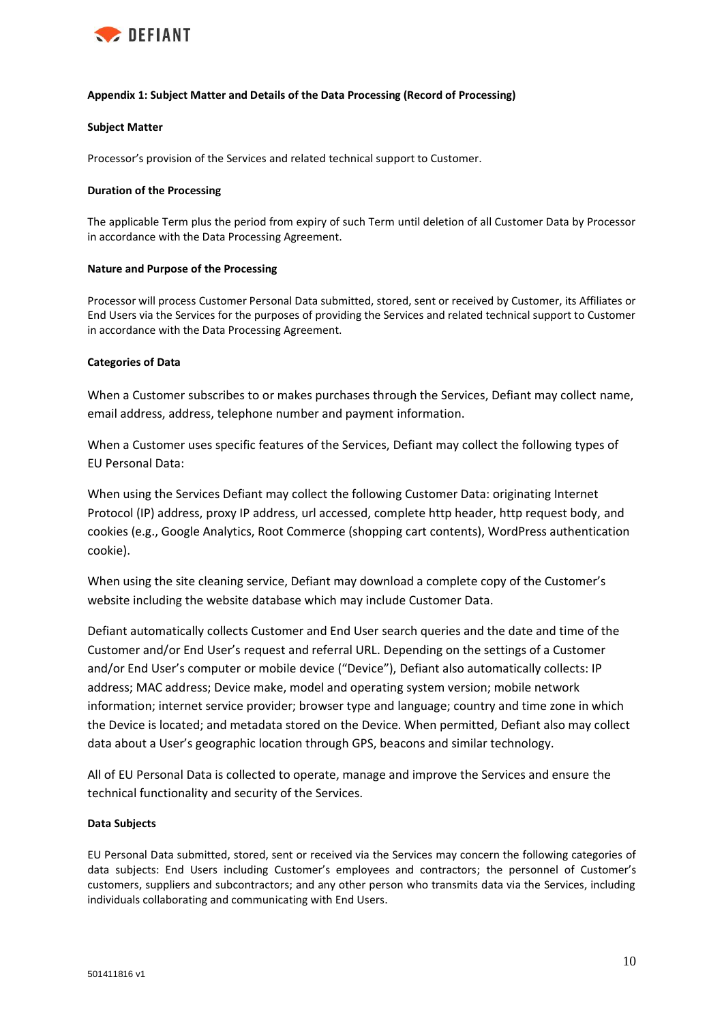

### **Appendix 1: Subject Matter and Details of the Data Processing (Record of Processing)**

# **Subject Matter**

Processor's provision of the Services and related technical support to Customer.

### **Duration of the Processing**

The applicable Term plus the period from expiry of such Term until deletion of all Customer Data by Processor in accordance with the Data Processing Agreement.

### **Nature and Purpose of the Processing**

Processor will process Customer Personal Data submitted, stored, sent or received by Customer, its Affiliates or End Users via the Services for the purposes of providing the Services and related technical support to Customer in accordance with the Data Processing Agreement.

### **Categories of Data**

When a Customer subscribes to or makes purchases through the Services, Defiant may collect name, email address, address, telephone number and payment information.

When a Customer uses specific features of the Services, Defiant may collect the following types of EU Personal Data:

When using the Services Defiant may collect the following Customer Data: originating Internet Protocol (IP) address, proxy IP address, url accessed, complete http header, http request body, and cookies (e.g., Google Analytics, Root Commerce (shopping cart contents), WordPress authentication cookie).

When using the site cleaning service, Defiant may download a complete copy of the Customer's website including the website database which may include Customer Data.

Defiant automatically collects Customer and End User search queries and the date and time of the Customer and/or End User's request and referral URL. Depending on the settings of a Customer and/or End User's computer or mobile device ("Device"), Defiant also automatically collects: IP address; MAC address; Device make, model and operating system version; mobile network information; internet service provider; browser type and language; country and time zone in which the Device is located; and metadata stored on the Device. When permitted, Defiant also may collect data about a User's geographic location through GPS, beacons and similar technology.

All of EU Personal Data is collected to operate, manage and improve the Services and ensure the technical functionality and security of the Services.

# **Data Subjects**

EU Personal Data submitted, stored, sent or received via the Services may concern the following categories of data subjects: End Users including Customer's employees and contractors; the personnel of Customer's customers, suppliers and subcontractors; and any other person who transmits data via the Services, including individuals collaborating and communicating with End Users.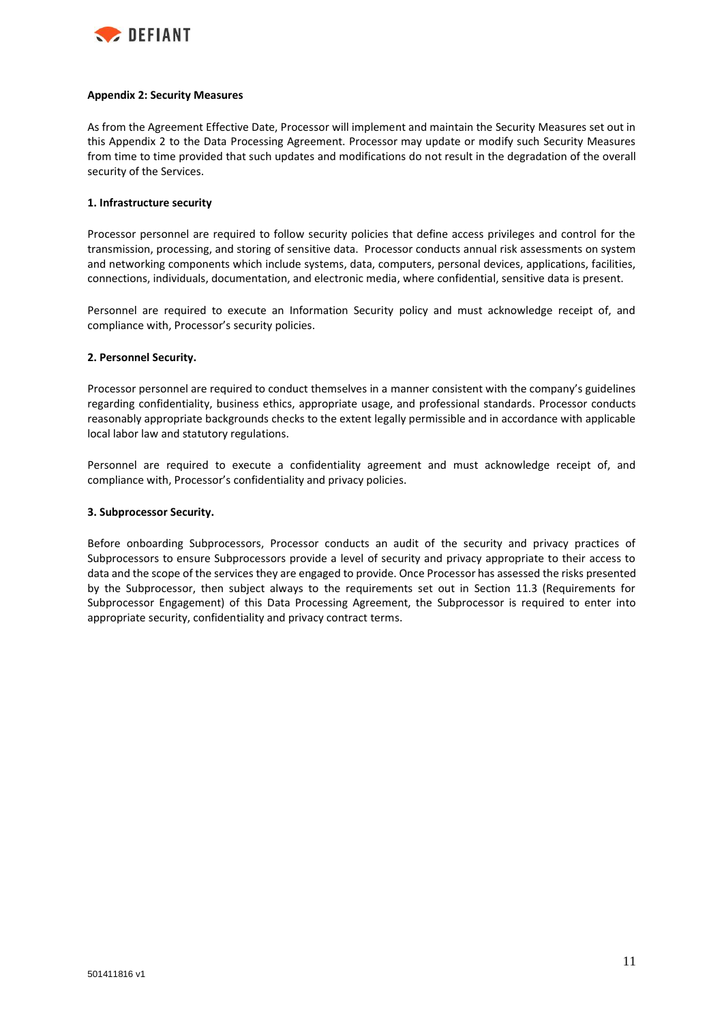

### **Appendix 2: Security Measures**

As from the Agreement Effective Date, Processor will implement and maintain the Security Measures set out in this Appendix 2 to the Data Processing Agreement. Processor may update or modify such Security Measures from time to time provided that such updates and modifications do not result in the degradation of the overall security of the Services.

### **1. Infrastructure security**

Processor personnel are required to follow security policies that define access privileges and control for the transmission, processing, and storing of sensitive data. Processor conducts annual risk assessments on system and networking components which include systems, data, computers, personal devices, applications, facilities, connections, individuals, documentation, and electronic media, where confidential, sensitive data is present.

Personnel are required to execute an Information Security policy and must acknowledge receipt of, and compliance with, Processor's security policies.

### **2. Personnel Security.**

Processor personnel are required to conduct themselves in a manner consistent with the company's guidelines regarding confidentiality, business ethics, appropriate usage, and professional standards. Processor conducts reasonably appropriate backgrounds checks to the extent legally permissible and in accordance with applicable local labor law and statutory regulations.

Personnel are required to execute a confidentiality agreement and must acknowledge receipt of, and compliance with, Processor's confidentiality and privacy policies.

### **3. Subprocessor Security.**

Before onboarding Subprocessors, Processor conducts an audit of the security and privacy practices of Subprocessors to ensure Subprocessors provide a level of security and privacy appropriate to their access to data and the scope of the services they are engaged to provide. Once Processor has assessed the risks presented by the Subprocessor, then subject always to the requirements set out in Section 11.3 (Requirements for Subprocessor Engagement) of this Data Processing Agreement, the Subprocessor is required to enter into appropriate security, confidentiality and privacy contract terms.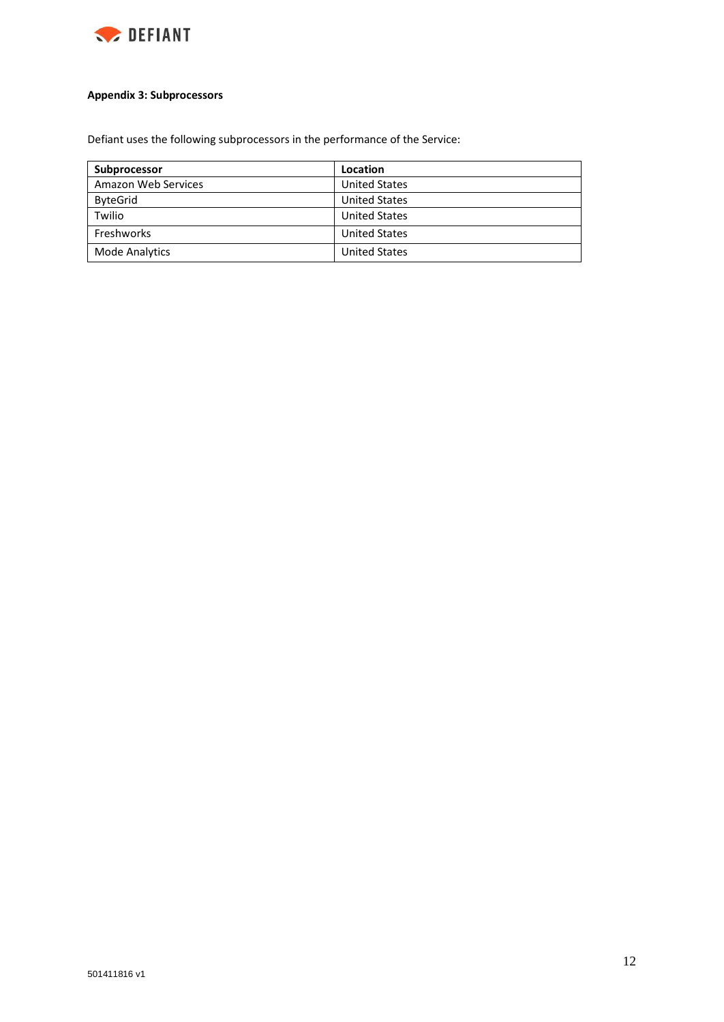

# **Appendix 3: Subprocessors**

Defiant uses the following subprocessors in the performance of the Service:

| Subprocessor          | <b>Location</b>      |
|-----------------------|----------------------|
| Amazon Web Services   | <b>United States</b> |
| <b>ByteGrid</b>       | <b>United States</b> |
| Twilio                | <b>United States</b> |
| Freshworks            | <b>United States</b> |
| <b>Mode Analytics</b> | <b>United States</b> |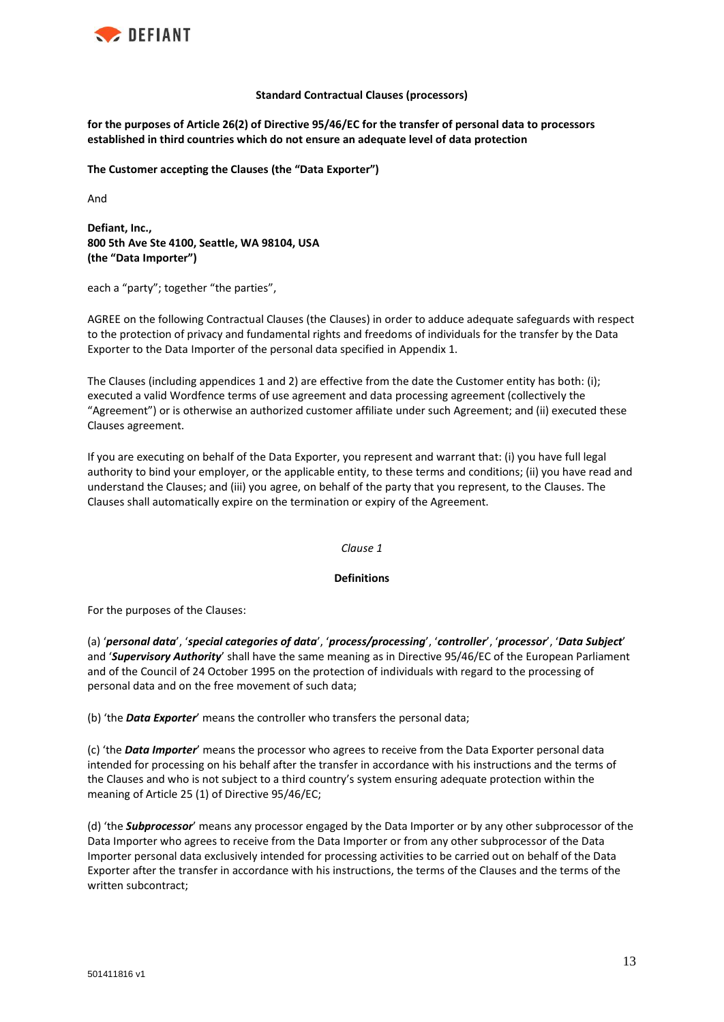

# **Standard Contractual Clauses (processors)**

**for the purposes of Article 26(2) of Directive 95/46/EC for the transfer of personal data to processors established in third countries which do not ensure an adequate level of data protection**

**The Customer accepting the Clauses (the "Data Exporter")**

And

**Defiant, Inc., 800 5th Ave Ste 4100, Seattle, WA 98104, USA (the "Data Importer")**

each a "party"; together "the parties",

AGREE on the following Contractual Clauses (the Clauses) in order to adduce adequate safeguards with respect to the protection of privacy and fundamental rights and freedoms of individuals for the transfer by the Data Exporter to the Data Importer of the personal data specified in Appendix 1.

The Clauses (including appendices 1 and 2) are effective from the date the Customer entity has both: (i); executed a valid Wordfence terms of use agreement and data processing agreement (collectively the "Agreement") or is otherwise an authorized customer affiliate under such Agreement; and (ii) executed these Clauses agreement.

If you are executing on behalf of the Data Exporter, you represent and warrant that: (i) you have full legal authority to bind your employer, or the applicable entity, to these terms and conditions; (ii) you have read and understand the Clauses; and (iii) you agree, on behalf of the party that you represent, to the Clauses. The Clauses shall automatically expire on the termination or expiry of the Agreement.

#### *Clause 1*

# **Definitions**

For the purposes of the Clauses:

(a) '*personal data*', '*special categories of data*', '*process/processing*', '*controller*', '*processor*', '*Data Subject*' and '*Supervisory Authority*' shall have the same meaning as in Directive 95/46/EC of the European Parliament and of the Council of 24 October 1995 on the protection of individuals with regard to the processing of personal data and on the free movement of such data;

(b) 'the *Data Exporter*' means the controller who transfers the personal data;

(c) 'the *Data Importer*' means the processor who agrees to receive from the Data Exporter personal data intended for processing on his behalf after the transfer in accordance with his instructions and the terms of the Clauses and who is not subject to a third country's system ensuring adequate protection within the meaning of Article 25 (1) of Directive 95/46/EC;

(d) 'the *Subprocessor*' means any processor engaged by the Data Importer or by any other subprocessor of the Data Importer who agrees to receive from the Data Importer or from any other subprocessor of the Data Importer personal data exclusively intended for processing activities to be carried out on behalf of the Data Exporter after the transfer in accordance with his instructions, the terms of the Clauses and the terms of the written subcontract;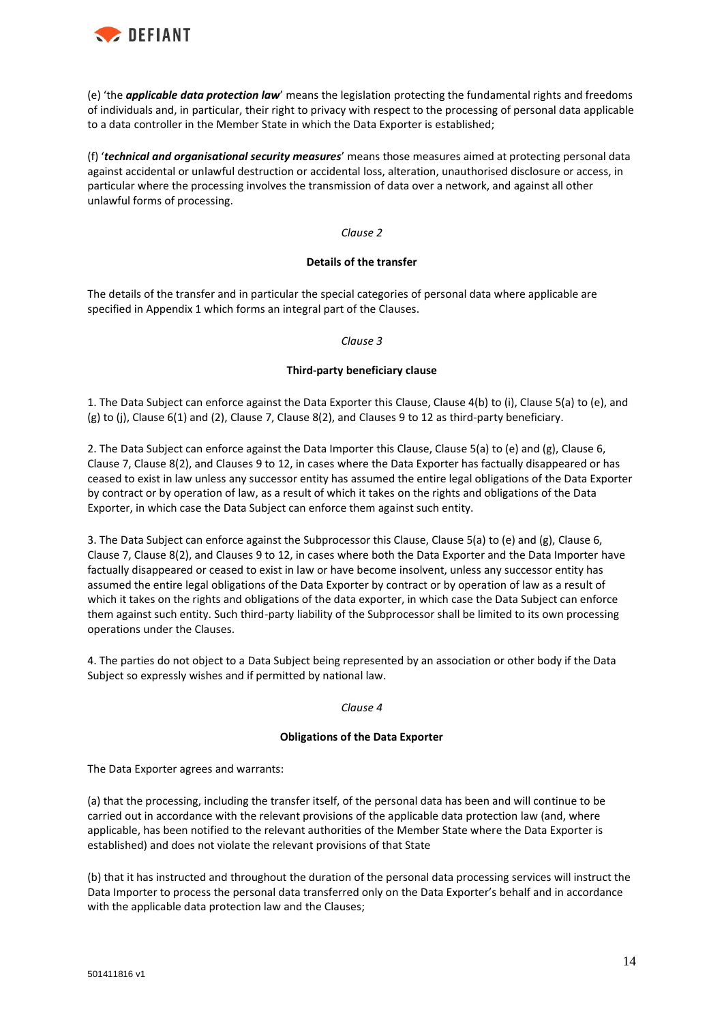

(e) 'the *applicable data protection law*' means the legislation protecting the fundamental rights and freedoms of individuals and, in particular, their right to privacy with respect to the processing of personal data applicable to a data controller in the Member State in which the Data Exporter is established;

(f) '*technical and organisational security measures*' means those measures aimed at protecting personal data against accidental or unlawful destruction or accidental loss, alteration, unauthorised disclosure or access, in particular where the processing involves the transmission of data over a network, and against all other unlawful forms of processing.

# *Clause 2*

# **Details of the transfer**

The details of the transfer and in particular the special categories of personal data where applicable are specified in Appendix 1 which forms an integral part of the Clauses.

*Clause 3*

# **Third-party beneficiary clause**

1. The Data Subject can enforce against the Data Exporter this Clause, Clause 4(b) to (i), Clause 5(a) to (e), and (g) to (j), Clause 6(1) and (2), Clause 7, Clause 8(2), and Clauses 9 to 12 as third-party beneficiary.

2. The Data Subject can enforce against the Data Importer this Clause, Clause 5(a) to (e) and (g), Clause 6, Clause 7, Clause 8(2), and Clauses 9 to 12, in cases where the Data Exporter has factually disappeared or has ceased to exist in law unless any successor entity has assumed the entire legal obligations of the Data Exporter by contract or by operation of law, as a result of which it takes on the rights and obligations of the Data Exporter, in which case the Data Subject can enforce them against such entity.

3. The Data Subject can enforce against the Subprocessor this Clause, Clause 5(a) to (e) and (g), Clause 6, Clause 7, Clause 8(2), and Clauses 9 to 12, in cases where both the Data Exporter and the Data Importer have factually disappeared or ceased to exist in law or have become insolvent, unless any successor entity has assumed the entire legal obligations of the Data Exporter by contract or by operation of law as a result of which it takes on the rights and obligations of the data exporter, in which case the Data Subject can enforce them against such entity. Such third-party liability of the Subprocessor shall be limited to its own processing operations under the Clauses.

4. The parties do not object to a Data Subject being represented by an association or other body if the Data Subject so expressly wishes and if permitted by national law.

#### *Clause 4*

# **Obligations of the Data Exporter**

The Data Exporter agrees and warrants:

(a) that the processing, including the transfer itself, of the personal data has been and will continue to be carried out in accordance with the relevant provisions of the applicable data protection law (and, where applicable, has been notified to the relevant authorities of the Member State where the Data Exporter is established) and does not violate the relevant provisions of that State

(b) that it has instructed and throughout the duration of the personal data processing services will instruct the Data Importer to process the personal data transferred only on the Data Exporter's behalf and in accordance with the applicable data protection law and the Clauses;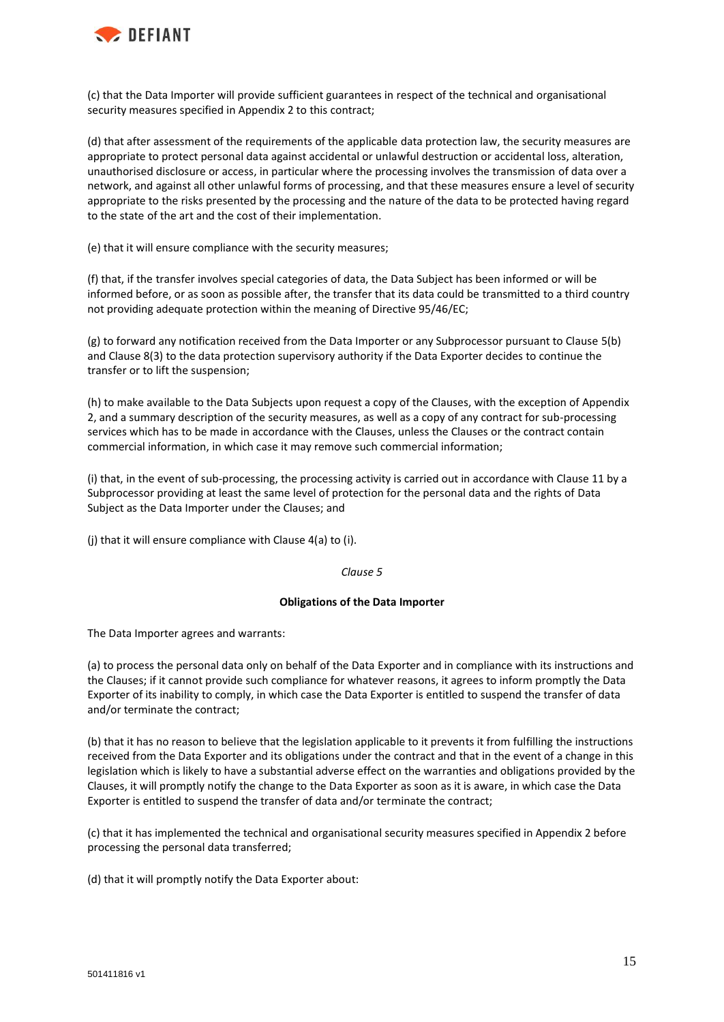

(c) that the Data Importer will provide sufficient guarantees in respect of the technical and organisational security measures specified in Appendix 2 to this contract;

(d) that after assessment of the requirements of the applicable data protection law, the security measures are appropriate to protect personal data against accidental or unlawful destruction or accidental loss, alteration, unauthorised disclosure or access, in particular where the processing involves the transmission of data over a network, and against all other unlawful forms of processing, and that these measures ensure a level of security appropriate to the risks presented by the processing and the nature of the data to be protected having regard to the state of the art and the cost of their implementation.

(e) that it will ensure compliance with the security measures;

(f) that, if the transfer involves special categories of data, the Data Subject has been informed or will be informed before, or as soon as possible after, the transfer that its data could be transmitted to a third country not providing adequate protection within the meaning of Directive 95/46/EC;

(g) to forward any notification received from the Data Importer or any Subprocessor pursuant to Clause 5(b) and Clause 8(3) to the data protection supervisory authority if the Data Exporter decides to continue the transfer or to lift the suspension;

(h) to make available to the Data Subjects upon request a copy of the Clauses, with the exception of Appendix 2, and a summary description of the security measures, as well as a copy of any contract for sub-processing services which has to be made in accordance with the Clauses, unless the Clauses or the contract contain commercial information, in which case it may remove such commercial information;

(i) that, in the event of sub-processing, the processing activity is carried out in accordance with Clause 11 by a Subprocessor providing at least the same level of protection for the personal data and the rights of Data Subject as the Data Importer under the Clauses; and

(j) that it will ensure compliance with Clause 4(a) to (i).

# *Clause 5*

# **Obligations of the Data Importer**

The Data Importer agrees and warrants:

(a) to process the personal data only on behalf of the Data Exporter and in compliance with its instructions and the Clauses; if it cannot provide such compliance for whatever reasons, it agrees to inform promptly the Data Exporter of its inability to comply, in which case the Data Exporter is entitled to suspend the transfer of data and/or terminate the contract;

(b) that it has no reason to believe that the legislation applicable to it prevents it from fulfilling the instructions received from the Data Exporter and its obligations under the contract and that in the event of a change in this legislation which is likely to have a substantial adverse effect on the warranties and obligations provided by the Clauses, it will promptly notify the change to the Data Exporter as soon as it is aware, in which case the Data Exporter is entitled to suspend the transfer of data and/or terminate the contract;

(c) that it has implemented the technical and organisational security measures specified in Appendix 2 before processing the personal data transferred;

(d) that it will promptly notify the Data Exporter about: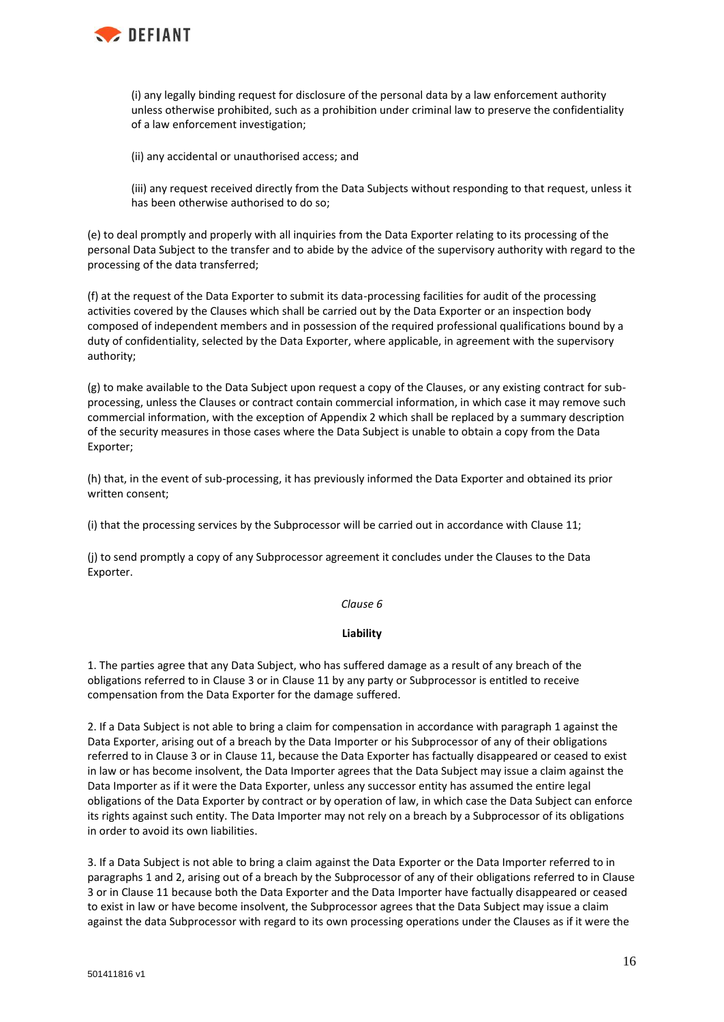

(i) any legally binding request for disclosure of the personal data by a law enforcement authority unless otherwise prohibited, such as a prohibition under criminal law to preserve the confidentiality of a law enforcement investigation;

(ii) any accidental or unauthorised access; and

(iii) any request received directly from the Data Subjects without responding to that request, unless it has been otherwise authorised to do so;

(e) to deal promptly and properly with all inquiries from the Data Exporter relating to its processing of the personal Data Subject to the transfer and to abide by the advice of the supervisory authority with regard to the processing of the data transferred;

(f) at the request of the Data Exporter to submit its data-processing facilities for audit of the processing activities covered by the Clauses which shall be carried out by the Data Exporter or an inspection body composed of independent members and in possession of the required professional qualifications bound by a duty of confidentiality, selected by the Data Exporter, where applicable, in agreement with the supervisory authority;

(g) to make available to the Data Subject upon request a copy of the Clauses, or any existing contract for subprocessing, unless the Clauses or contract contain commercial information, in which case it may remove such commercial information, with the exception of Appendix 2 which shall be replaced by a summary description of the security measures in those cases where the Data Subject is unable to obtain a copy from the Data Exporter;

(h) that, in the event of sub-processing, it has previously informed the Data Exporter and obtained its prior written consent;

(i) that the processing services by the Subprocessor will be carried out in accordance with Clause 11;

(j) to send promptly a copy of any Subprocessor agreement it concludes under the Clauses to the Data Exporter.

### *Clause 6*

# **Liability**

1. The parties agree that any Data Subject, who has suffered damage as a result of any breach of the obligations referred to in Clause 3 or in Clause 11 by any party or Subprocessor is entitled to receive compensation from the Data Exporter for the damage suffered.

2. If a Data Subject is not able to bring a claim for compensation in accordance with paragraph 1 against the Data Exporter, arising out of a breach by the Data Importer or his Subprocessor of any of their obligations referred to in Clause 3 or in Clause 11, because the Data Exporter has factually disappeared or ceased to exist in law or has become insolvent, the Data Importer agrees that the Data Subject may issue a claim against the Data Importer as if it were the Data Exporter, unless any successor entity has assumed the entire legal obligations of the Data Exporter by contract or by operation of law, in which case the Data Subject can enforce its rights against such entity. The Data Importer may not rely on a breach by a Subprocessor of its obligations in order to avoid its own liabilities.

3. If a Data Subject is not able to bring a claim against the Data Exporter or the Data Importer referred to in paragraphs 1 and 2, arising out of a breach by the Subprocessor of any of their obligations referred to in Clause 3 or in Clause 11 because both the Data Exporter and the Data Importer have factually disappeared or ceased to exist in law or have become insolvent, the Subprocessor agrees that the Data Subject may issue a claim against the data Subprocessor with regard to its own processing operations under the Clauses as if it were the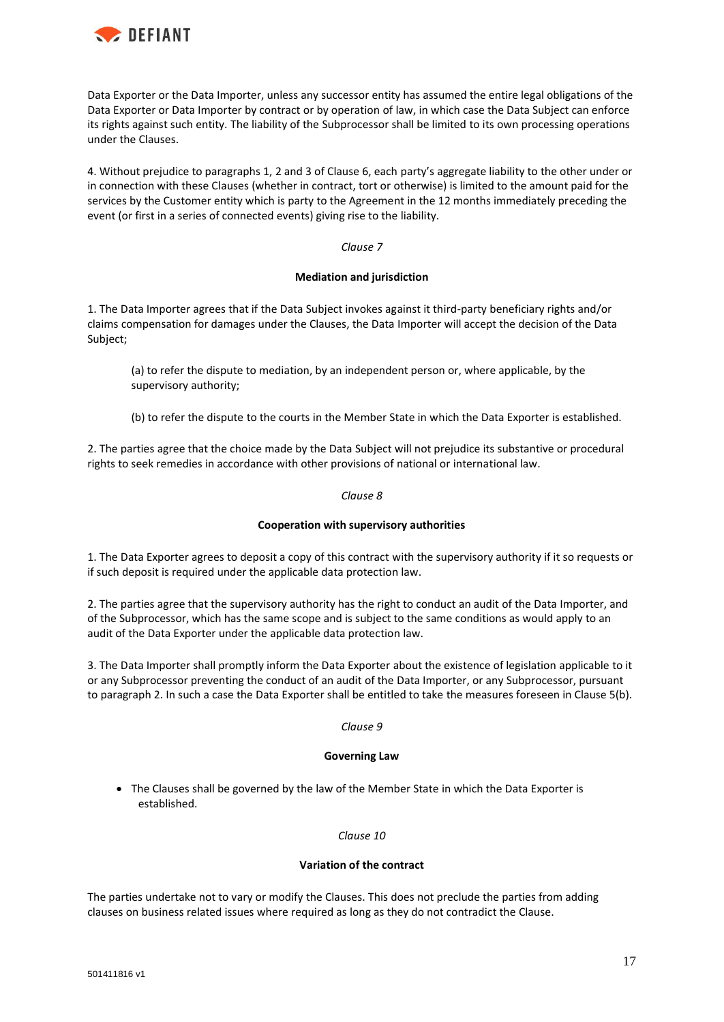

Data Exporter or the Data Importer, unless any successor entity has assumed the entire legal obligations of the Data Exporter or Data Importer by contract or by operation of law, in which case the Data Subject can enforce its rights against such entity. The liability of the Subprocessor shall be limited to its own processing operations under the Clauses.

4. Without prejudice to paragraphs 1, 2 and 3 of Clause 6, each party's aggregate liability to the other under or in connection with these Clauses (whether in contract, tort or otherwise) is limited to the amount paid for the services by the Customer entity which is party to the Agreement in the 12 months immediately preceding the event (or first in a series of connected events) giving rise to the liability.

# *Clause 7*

# **Mediation and jurisdiction**

1. The Data Importer agrees that if the Data Subject invokes against it third-party beneficiary rights and/or claims compensation for damages under the Clauses, the Data Importer will accept the decision of the Data Subject;

(a) to refer the dispute to mediation, by an independent person or, where applicable, by the supervisory authority;

(b) to refer the dispute to the courts in the Member State in which the Data Exporter is established.

2. The parties agree that the choice made by the Data Subject will not prejudice its substantive or procedural rights to seek remedies in accordance with other provisions of national or international law.

### *Clause 8*

### **Cooperation with supervisory authorities**

1. The Data Exporter agrees to deposit a copy of this contract with the supervisory authority if it so requests or if such deposit is required under the applicable data protection law.

2. The parties agree that the supervisory authority has the right to conduct an audit of the Data Importer, and of the Subprocessor, which has the same scope and is subject to the same conditions as would apply to an audit of the Data Exporter under the applicable data protection law.

3. The Data Importer shall promptly inform the Data Exporter about the existence of legislation applicable to it or any Subprocessor preventing the conduct of an audit of the Data Importer, or any Subprocessor, pursuant to paragraph 2. In such a case the Data Exporter shall be entitled to take the measures foreseen in Clause 5(b).

#### *Clause 9*

#### **Governing Law**

• The Clauses shall be governed by the law of the Member State in which the Data Exporter is established.

# *Clause 10*

#### **Variation of the contract**

The parties undertake not to vary or modify the Clauses. This does not preclude the parties from adding clauses on business related issues where required as long as they do not contradict the Clause.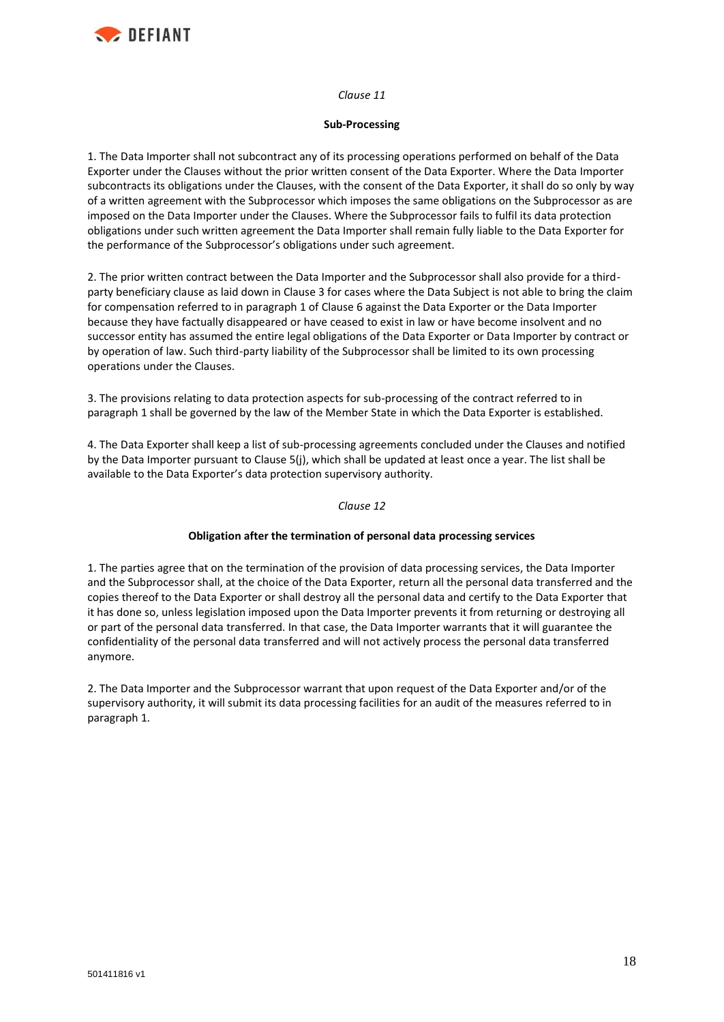

# *Clause 11*

# **Sub-Processing**

1. The Data Importer shall not subcontract any of its processing operations performed on behalf of the Data Exporter under the Clauses without the prior written consent of the Data Exporter. Where the Data Importer subcontracts its obligations under the Clauses, with the consent of the Data Exporter, it shall do so only by way of a written agreement with the Subprocessor which imposes the same obligations on the Subprocessor as are imposed on the Data Importer under the Clauses. Where the Subprocessor fails to fulfil its data protection obligations under such written agreement the Data Importer shall remain fully liable to the Data Exporter for the performance of the Subprocessor's obligations under such agreement.

2. The prior written contract between the Data Importer and the Subprocessor shall also provide for a thirdparty beneficiary clause as laid down in Clause 3 for cases where the Data Subject is not able to bring the claim for compensation referred to in paragraph 1 of Clause 6 against the Data Exporter or the Data Importer because they have factually disappeared or have ceased to exist in law or have become insolvent and no successor entity has assumed the entire legal obligations of the Data Exporter or Data Importer by contract or by operation of law. Such third-party liability of the Subprocessor shall be limited to its own processing operations under the Clauses.

3. The provisions relating to data protection aspects for sub-processing of the contract referred to in paragraph 1 shall be governed by the law of the Member State in which the Data Exporter is established.

4. The Data Exporter shall keep a list of sub-processing agreements concluded under the Clauses and notified by the Data Importer pursuant to Clause 5(j), which shall be updated at least once a year. The list shall be available to the Data Exporter's data protection supervisory authority.

### *Clause 12*

# **Obligation after the termination of personal data processing services**

1. The parties agree that on the termination of the provision of data processing services, the Data Importer and the Subprocessor shall, at the choice of the Data Exporter, return all the personal data transferred and the copies thereof to the Data Exporter or shall destroy all the personal data and certify to the Data Exporter that it has done so, unless legislation imposed upon the Data Importer prevents it from returning or destroying all or part of the personal data transferred. In that case, the Data Importer warrants that it will guarantee the confidentiality of the personal data transferred and will not actively process the personal data transferred anymore.

2. The Data Importer and the Subprocessor warrant that upon request of the Data Exporter and/or of the supervisory authority, it will submit its data processing facilities for an audit of the measures referred to in paragraph 1.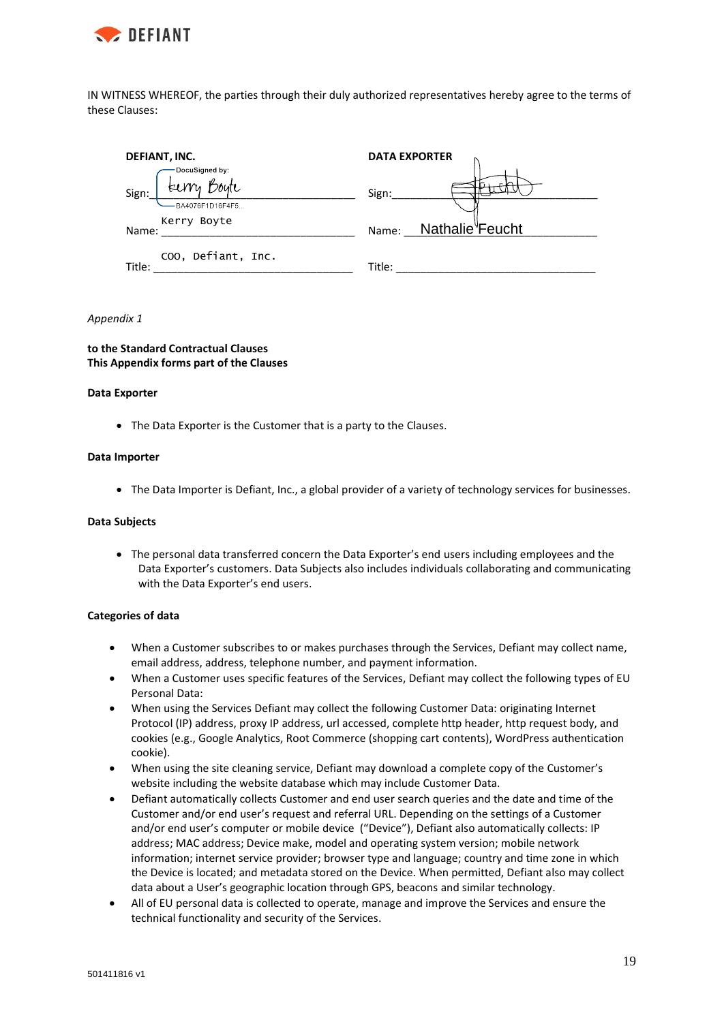

IN WITNESS WHEREOF, the parties through their duly authorized representatives hereby agree to the terms of these Clauses:

| DEFIANT, INC.                            | <b>DATA EXPORTER</b>  |
|------------------------------------------|-----------------------|
| -DocuSigned by:<br><b>tury</b><br>Sign:  | Sign:                 |
| -BA4076F1D16F4F5<br>Kerry Boyte<br>Name: | Name: Nathalie Feucht |
| COO, Defiant, Inc.<br>Title:             | Title:                |

### *Appendix 1*

**to the Standard Contractual Clauses This Appendix forms part of the Clauses**

# **Data Exporter**

• The Data Exporter is the Customer that is a party to the Clauses.

#### **Data Importer**

• The Data Importer is Defiant, Inc., a global provider of a variety of technology services for businesses.

#### **Data Subjects**

• The personal data transferred concern the Data Exporter's end users including employees and the Data Exporter's customers. Data Subjects also includes individuals collaborating and communicating with the Data Exporter's end users.

# **Categories of data**

- When a Customer subscribes to or makes purchases through the Services, Defiant may collect name, email address, address, telephone number, and payment information.
- When a Customer uses specific features of the Services, Defiant may collect the following types of EU Personal Data:
- When using the Services Defiant may collect the following Customer Data: originating Internet Protocol (IP) address, proxy IP address, url accessed, complete http header, http request body, and cookies (e.g., Google Analytics, Root Commerce (shopping cart contents), WordPress authentication cookie).
- When using the site cleaning service, Defiant may download a complete copy of the Customer's website including the website database which may include Customer Data.
- Defiant automatically collects Customer and end user search queries and the date and time of the Customer and/or end user's request and referral URL. Depending on the settings of a Customer and/or end user's computer or mobile device ("Device"), Defiant also automatically collects: IP address; MAC address; Device make, model and operating system version; mobile network information; internet service provider; browser type and language; country and time zone in which the Device is located; and metadata stored on the Device. When permitted, Defiant also may collect data about a User's geographic location through GPS, beacons and similar technology.
- All of EU personal data is collected to operate, manage and improve the Services and ensure the technical functionality and security of the Services.